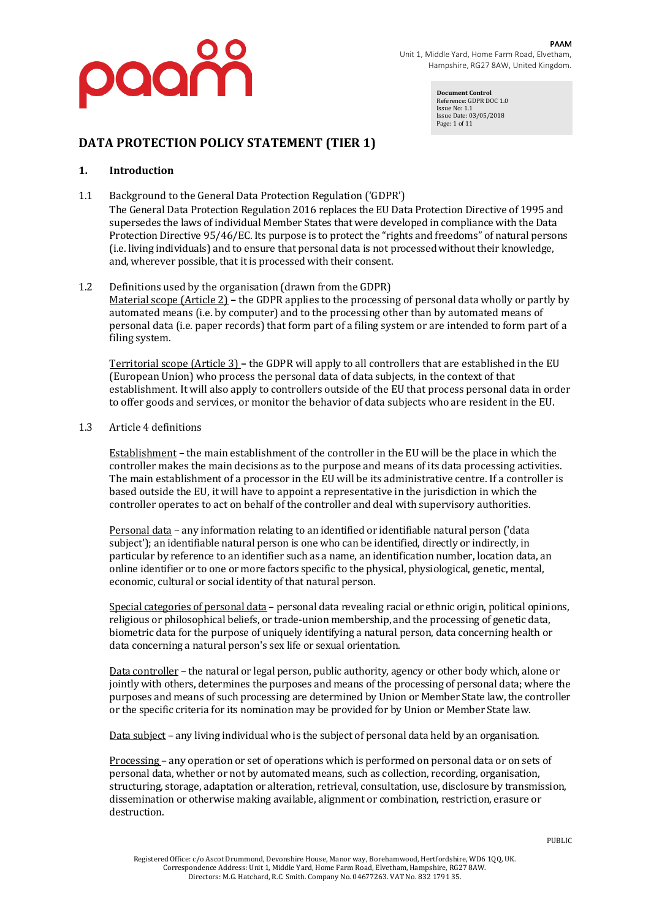

**Document Control** Reference: GDPR DOC 1.0 Issue No: 1.1 Issue Date: 03/05/2018 Page: 1 of 11

### **DATA PROTECTION POLICY STATEMENT (TIER 1)**

#### **1. Introduction**

1.1 Background to the General Data Protection Regulation ('GDPR') The General Data Protection Regulation 2016 replaces the EU Data Protection Directive of 1995 and supersedes the laws of individual Member States that were developed in compliance with the Data Protection Directive  $95/46$ /EC. Its purpose is to protect the "rights and freedoms" of natural persons (i.e. living individuals) and to ensure that personal data is not processed without their knowledge, and, wherever possible, that it is processed with their consent.

#### 1.2 Definitions used by the organisation (drawn from the GDPR)

Material scope (Article 2) – the GDPR applies to the processing of personal data wholly or partly by automated means (i.e. by computer) and to the processing other than by automated means of personal data (i.e. paper records) that form part of a filing system or are intended to form part of a filing system.

Territorial scope (Article 3) – the GDPR will apply to all controllers that are established in the EU (European Union) who process the personal data of data subjects, in the context of that establishment. It will also apply to controllers outside of the EU that process personal data in order to offer goods and services, or monitor the behavior of data subjects who are resident in the EU.

#### 1.3 Article 4 definitions

Establishment – the main establishment of the controller in the EU will be the place in which the controller makes the main decisions as to the purpose and means of its data processing activities. The main establishment of a processor in the EU will be its administrative centre. If a controller is based outside the EU, it will have to appoint a representative in the jurisdiction in which the controller operates to act on behalf of the controller and deal with supervisory authorities.

Personal data – any information relating to an identified or identifiable natural person ('data subject'); an identifiable natural person is one who can be identified, directly or indirectly, in particular by reference to an identifier such as a name, an identification number, location data, an online identifier or to one or more factors specific to the physical, physiological, genetic, mental, economic, cultural or social identity of that natural person.

Special categories of personal data - personal data revealing racial or ethnic origin, political opinions, religious or philosophical beliefs, or trade-union membership, and the processing of genetic data, biometric data for the purpose of uniquely identifying a natural person, data concerning health or data concerning a natural person's sex life or sexual orientation.

Data controller – the natural or legal person, public authority, agency or other body which, alone or jointly with others, determines the purposes and means of the processing of personal data; where the purposes and means of such processing are determined by Union or Member State law, the controller or the specific criteria for its nomination may be provided for by Union or Member State law.

Data subject – any living individual who is the subject of personal data held by an organisation.

Processing – any operation or set of operations which is performed on personal data or on sets of personal data, whether or not by automated means, such as collection, recording, organisation, structuring, storage, adaptation or alteration, retrieval, consultation, use, disclosure by transmission, dissemination or otherwise making available, alignment or combination, restriction, erasure or destruction.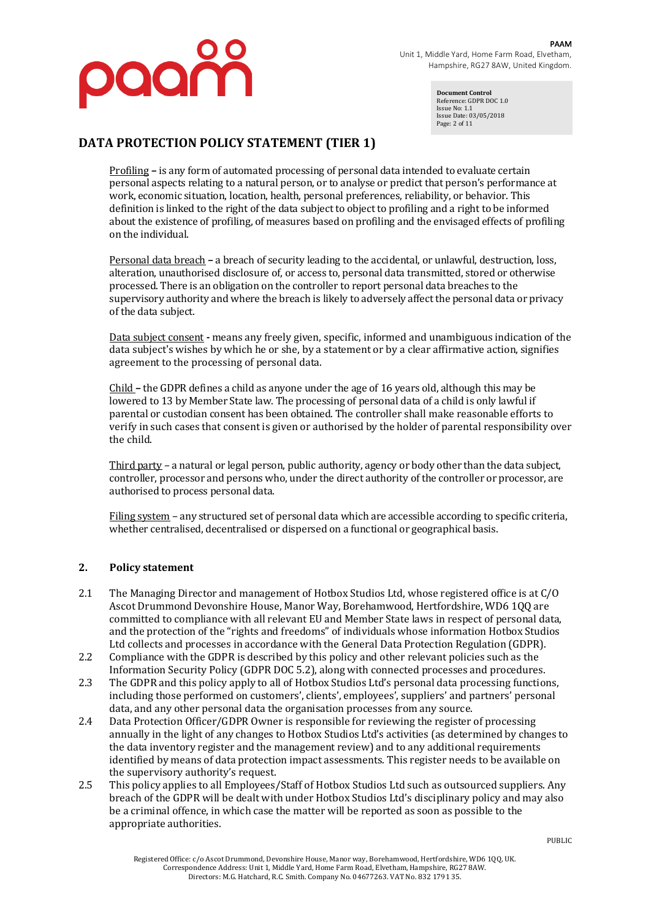

**Document Control** Reference: GDPR DOC 1.0 Issue No: 1.1 Issue Date: 03/05/2018 Page: 2 of 11

### **DATA PROTECTION POLICY STATEMENT (TIER 1)**

Profiling - is any form of automated processing of personal data intended to evaluate certain personal aspects relating to a natural person, or to analyse or predict that person's performance at work, economic situation, location, health, personal preferences, reliability, or behavior. This definition is linked to the right of the data subject to object to profiling and a right to be informed about the existence of profiling, of measures based on profiling and the envisaged effects of profiling on the individual.

Personal data breach **–** a breach of security leading to the accidental, or unlawful, destruction, loss, alteration, unauthorised disclosure of, or access to, personal data transmitted, stored or otherwise processed. There is an obligation on the controller to report personal data breaches to the supervisory authority and where the breach is likely to adversely affect the personal data or privacy of the data subject.

Data subject consent **-** means any freely given, specific, informed and unambiguous indication of the data subject's wishes by which he or she, by a statement or by a clear affirmative action, signifies agreement to the processing of personal data.

Child – the GDPR defines a child as anyone under the age of 16 years old, although this may be lowered to 13 by Member State law. The processing of personal data of a child is only lawful if parental or custodian consent has been obtained. The controller shall make reasonable efforts to verify in such cases that consent is given or authorised by the holder of parental responsibility over the child.

Third party – a natural or legal person, public authority, agency or body other than the data subject, controller, processor and persons who, under the direct authority of the controller or processor, are authorised to process personal data.

Filing system – any structured set of personal data which are accessible according to specific criteria, whether centralised, decentralised or dispersed on a functional or geographical basis.

### **2. Policy statement**

- 2.1 The Managing Director and management of Hotbox Studios Ltd, whose registered office is at C/O Ascot Drummond Devonshire House, Manor Way, Borehamwood, Hertfordshire, WD6 1QQ are committed to compliance with all relevant EU and Member State laws in respect of personal data, and the protection of the "rights and freedoms" of individuals whose information Hotbox Studios Ltd collects and processes in accordance with the General Data Protection Regulation (GDPR).
- 2.2 Compliance with the GDPR is described by this policy and other relevant policies such as the Information Security Policy (GDPR DOC 5.2), along with connected processes and procedures.
- 2.3 The GDPR and this policy apply to all of Hotbox Studios Ltd's personal data processing functions, including those performed on customers', clients', employees', suppliers' and partners' personal data, and any other personal data the organisation processes from any source.
- 2.4 Data Protection Officer/GDPR Owner is responsible for reviewing the register of processing annually in the light of any changes to Hotbox Studios Ltd's activities (as determined by changes to the data inventory register and the management review) and to any additional requirements identified by means of data protection impact assessments. This register needs to be available on the supervisory authority's request.
- 2.5 This policy applies to all Employees/Staff of Hotbox Studios Ltd such as outsourced suppliers. Any breach of the GDPR will be dealt with under Hotbox Studios Ltd's disciplinary policy and may also be a criminal offence, in which case the matter will be reported as soon as possible to the appropriate authorities.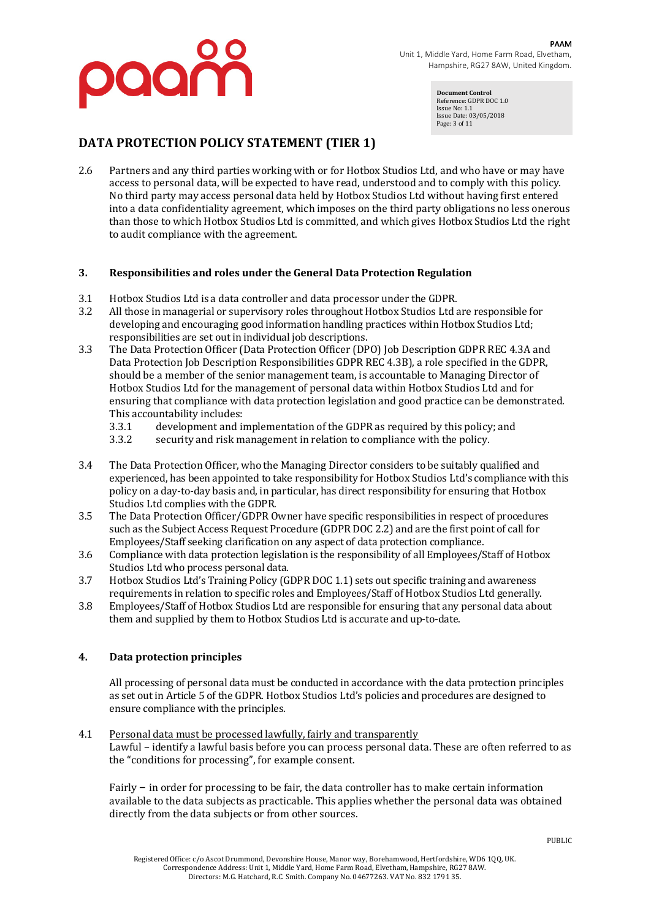

**Document Control** Reference: GDPR DOC 1.0 Issue No: 1.1 Issue Date: 03/05/2018 Page: 3 of 11

# **DATA PROTECTION POLICY STATEMENT (TIER 1)**

2.6 Partners and any third parties working with or for Hotbox Studios Ltd, and who have or may have access to personal data, will be expected to have read, understood and to comply with this policy. No third party may access personal data held by Hotbox Studios Ltd without having first entered into a data confidentiality agreement, which imposes on the third party obligations no less onerous than those to which Hotbox Studios Ltd is committed, and which gives Hotbox Studios Ltd the right to audit compliance with the agreement.

#### **3.** Responsibilities and roles under the General Data Protection Regulation

- 3.1 Hotbox Studios Ltd is a data controller and data processor under the GDPR.
- 3.2 All those in managerial or supervisory roles throughout Hotbox Studios Ltd are responsible for developing and encouraging good information handling practices within Hotbox Studios Ltd; responsibilities are set out in individual job descriptions.
- 3.3 The Data Protection Officer (Data Protection Officer (DPO) Job Description GDPR REC 4.3A and Data Protection Job Description Responsibilities GDPR REC 4.3B), a role specified in the GDPR, should be a member of the senior management team, is accountable to Managing Director of Hotbox Studios Ltd for the management of personal data within Hotbox Studios Ltd and for ensuring that compliance with data protection legislation and good practice can be demonstrated. This accountability includes:
	- 3.3.1 development and implementation of the GDPR as required by this policy; and
	- 3.3.2 security and risk management in relation to compliance with the policy.
- 3.4 The Data Protection Officer, who the Managing Director considers to be suitably qualified and experienced, has been appointed to take responsibility for Hotbox Studios Ltd's compliance with this policy on a day-to-day basis and, in particular, has direct responsibility for ensuring that Hotbox Studios Ltd complies with the GDPR.
- 3.5 The Data Protection Officer/GDPR Owner have specific responsibilities in respect of procedures such as the Subject Access Request Procedure (GDPR DOC 2.2) and are the first point of call for Employees/Staff seeking clarification on any aspect of data protection compliance.
- 3.6 Compliance with data protection legislation is the responsibility of all Employees/Staff of Hotbox Studios Ltd who process personal data.
- 3.7 Hotbox Studios Ltd's Training Policy (GDPR DOC 1.1) sets out specific training and awareness requirements in relation to specific roles and Employees/Staff of Hotbox Studios Ltd generally.
- 3.8 Employees/Staff of Hotbox Studios Ltd are responsible for ensuring that any personal data about them and supplied by them to Hotbox Studios Ltd is accurate and up-to-date.

### **4. Data protection principles**

All processing of personal data must be conducted in accordance with the data protection principles as set out in Article 5 of the GDPR. Hotbox Studios Ltd's policies and procedures are designed to ensure compliance with the principles.

#### 4.1 Personal data must be processed lawfully, fairly and transparently Lawful – identify a lawful basis before you can process personal data. These are often referred to as

the "conditions for processing", for example consent.

Fairly  $-$  in order for processing to be fair, the data controller has to make certain information available to the data subjects as practicable. This applies whether the personal data was obtained directly from the data subjects or from other sources.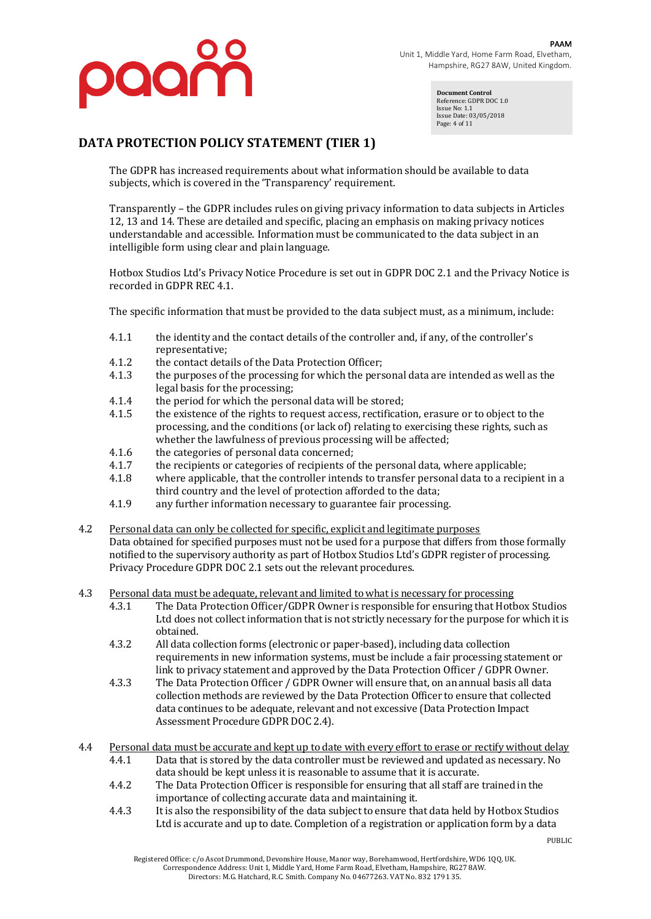

**Document Control** Reference: GDPR DOC 1.0 Issue No: 1.1 Issue Date: 03/05/2018 Page: 4 of 11

# **DATA PROTECTION POLICY STATEMENT (TIER 1)**

The GDPR has increased requirements about what information should be available to data subjects, which is covered in the 'Transparency' requirement.

Transparently – the GDPR includes rules on giving privacy information to data subjects in Articles 12, 13 and 14. These are detailed and specific, placing an emphasis on making privacy notices understandable and accessible. Information must be communicated to the data subject in an intelligible form using clear and plain language.

Hotbox Studios Ltd's Privacy Notice Procedure is set out in GDPR DOC 2.1 and the Privacy Notice is recorded in GDPR REC 4.1.

The specific information that must be provided to the data subject must, as a minimum, include:

- 4.1.1 the identity and the contact details of the controller and, if any, of the controller's representative;
- 4.1.2 the contact details of the Data Protection Officer;
- 4.1.3 the purposes of the processing for which the personal data are intended as well as the legal basis for the processing;
- $4.1.4$  the period for which the personal data will be stored;
- 4.1.5 the existence of the rights to request access, rectification, erasure or to object to the processing, and the conditions (or lack of) relating to exercising these rights, such as whether the lawfulness of previous processing will be affected;
- 4.1.6 the categories of personal data concerned;
- 4.1.7 the recipients or categories of recipients of the personal data, where applicable;
- 4.1.8 where applicable, that the controller intends to transfer personal data to a recipient in a third country and the level of protection afforded to the data;
- 4.1.9 any further information necessary to guarantee fair processing.
- 4.2 Personal data can only be collected for specific, explicit and legitimate purposes Data obtained for specified purposes must not be used for a purpose that differs from those formally notified to the supervisory authority as part of Hotbox Studios Ltd's GDPR register of processing. Privacy Procedure GDPR DOC 2.1 sets out the relevant procedures.
- 4.3 Personal data must be adequate, relevant and limited to what is necessary for processing
	- 4.3.1 The Data Protection Officer/GDPR Owner is responsible for ensuring that Hotbox Studios Ltd does not collect information that is not strictly necessary for the purpose for which it is obtained.
	- 4.3.2 All data collection forms (electronic or paper-based), including data collection requirements in new information systems, must be include a fair processing statement or link to privacy statement and approved by the Data Protection Officer / GDPR Owner.
	- 4.3.3 The Data Protection Officer / GDPR Owner will ensure that, on an annual basis all data collection methods are reviewed by the Data Protection Officer to ensure that collected data continues to be adequate, relevant and not excessive (Data Protection Impact Assessment Procedure GDPR DOC 2.4).
- 4.4 Personal data must be accurate and kept up to date with every effort to erase or rectify without delay 4.4.1 Data that is stored by the data controller must be reviewed and updated as necessary. No
	- data should be kept unless it is reasonable to assume that it is accurate. 4.4.2 The Data Protection Officer is responsible for ensuring that all staff are trained in the
	- importance of collecting accurate data and maintaining it.
	- 4.4.3 It is also the responsibility of the data subject to ensure that data held by Hotbox Studios Ltd is accurate and up to date. Completion of a registration or application form by a data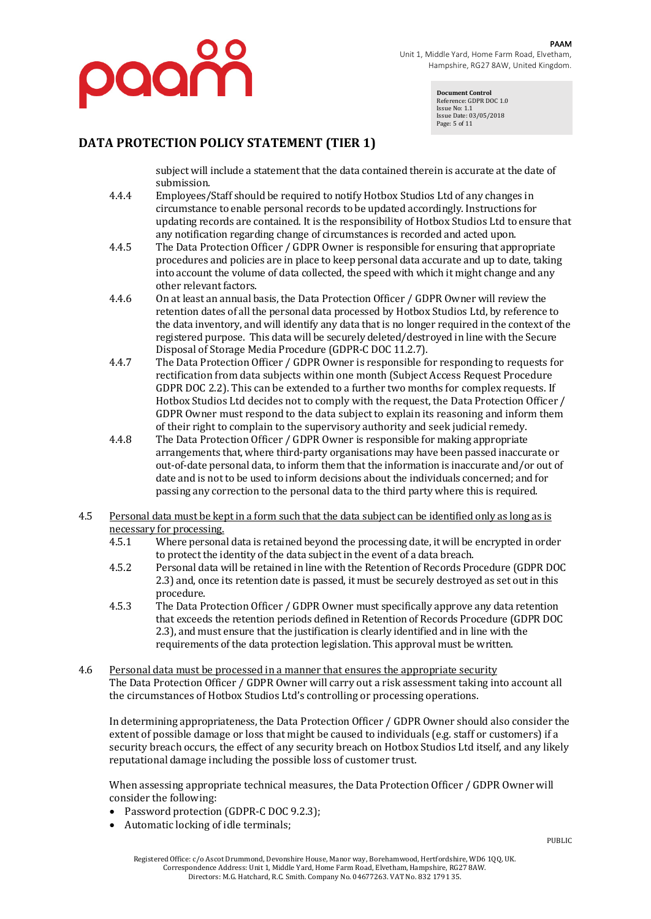

**Document Control** Reference: GDPR DOC 1.0 Issue No: 1.1 Issue Date: 03/05/2018 Page: 5 of 11

### **DATA PROTECTION POLICY STATEMENT (TIER 1)**

subject will include a statement that the data contained therein is accurate at the date of submission. 

- 4.4.4 Employees/Staff should be required to notify Hotbox Studios Ltd of any changes in circumstance to enable personal records to be updated accordingly. Instructions for updating records are contained. It is the responsibility of Hotbox Studios Ltd to ensure that any notification regarding change of circumstances is recorded and acted upon.
- 4.4.5 The Data Protection Officer / GDPR Owner is responsible for ensuring that appropriate procedures and policies are in place to keep personal data accurate and up to date, taking into account the volume of data collected, the speed with which it might change and any other relevant factors.
- 4.4.6 On at least an annual basis, the Data Protection Officer / GDPR Owner will review the retention dates of all the personal data processed by Hotbox Studios Ltd, by reference to the data inventory, and will identify any data that is no longer required in the context of the registered purpose. This data will be securely deleted/destroyed in line with the Secure Disposal of Storage Media Procedure (GDPR-C DOC 11.2.7).
- 4.4.7 The Data Protection Officer / GDPR Owner is responsible for responding to requests for rectification from data subjects within one month (Subject Access Request Procedure GDPR DOC 2.2). This can be extended to a further two months for complex requests. If Hotbox Studios Ltd decides not to comply with the request, the Data Protection Officer / GDPR Owner must respond to the data subject to explain its reasoning and inform them of their right to complain to the supervisory authority and seek judicial remedy.
- 4.4.8 The Data Protection Officer / GDPR Owner is responsible for making appropriate arrangements that, where third-party organisations may have been passed inaccurate or out-of-date personal data, to inform them that the information is inaccurate and/or out of date and is not to be used to inform decisions about the individuals concerned; and for passing any correction to the personal data to the third party where this is required.
- 4.5 Personal data must be kept in a form such that the data subject can be identified only as long as is necessary for processing.
	- 4.5.1 Where personal data is retained beyond the processing date, it will be encrypted in order to protect the identity of the data subject in the event of a data breach.
	- 4.5.2 Personal data will be retained in line with the Retention of Records Procedure (GDPR DOC 2.3) and, once its retention date is passed, it must be securely destroyed as set out in this procedure.
	- 4.5.3 The Data Protection Officer / GDPR Owner must specifically approve any data retention that exceeds the retention periods defined in Retention of Records Procedure (GDPR DOC 2.3), and must ensure that the justification is clearly identified and in line with the requirements of the data protection legislation. This approval must be written.
- 4.6 Personal data must be processed in a manner that ensures the appropriate security The Data Protection Officer / GDPR Owner will carry out a risk assessment taking into account all the circumstances of Hotbox Studios Ltd's controlling or processing operations.

In determining appropriateness, the Data Protection Officer / GDPR Owner should also consider the extent of possible damage or loss that might be caused to individuals (e.g. staff or customers) if a security breach occurs, the effect of any security breach on Hotbox Studios Ltd itself, and any likely reputational damage including the possible loss of customer trust.

When assessing appropriate technical measures, the Data Protection Officer / GDPR Owner will consider the following:

- Password protection (GDPR-C DOC 9.2.3);
- Automatic locking of idle terminals;

PUBLIC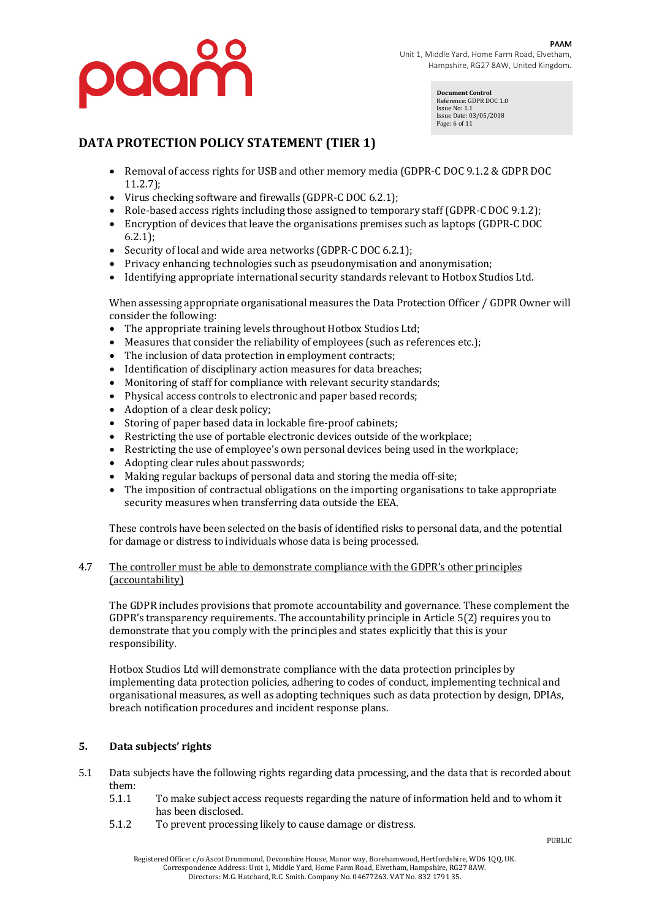

**Document Control** Reference: GDPR DOC 1.0 Issue No: 1.1 Issue Date: 03/05/2018 Page: 6 of 11

# **DATA PROTECTION POLICY STATEMENT (TIER 1)**

- Removal of access rights for USB and other memory media (GDPR-C DOC 9.1.2 & GDPR DOC 11.2.7);
- Virus checking software and firewalls  $(GDPR-C DOC 6.2.1)$ ;
- Role-based access rights including those assigned to temporary staff (GDPR-C DOC 9.1.2);
- Encryption of devices that leave the organisations premises such as laptops (GDPR-C DOC 6.2.1);
- Security of local and wide area networks (GDPR-C DOC 6.2.1);
- Privacy enhancing technologies such as pseudonymisation and anonymisation;
- Identifying appropriate international security standards relevant to Hotbox Studios Ltd.

When assessing appropriate organisational measures the Data Protection Officer / GDPR Owner will consider the following:

- The appropriate training levels throughout Hotbox Studios Ltd;
- Measures that consider the reliability of employees (such as references etc.);
- The inclusion of data protection in employment contracts;
- Identification of disciplinary action measures for data breaches;
- Monitoring of staff for compliance with relevant security standards;
- Physical access controls to electronic and paper based records;
- Adoption of a clear desk policy;
- Storing of paper based data in lockable fire-proof cabinets;
- Restricting the use of portable electronic devices outside of the workplace;
- Restricting the use of employee's own personal devices being used in the workplace;
- Adopting clear rules about passwords;
- Making regular backups of personal data and storing the media off-site;
- The imposition of contractual obligations on the importing organisations to take appropriate security measures when transferring data outside the EEA.

These controls have been selected on the basis of identified risks to personal data, and the potential for damage or distress to individuals whose data is being processed.

#### 4.7 The controller must be able to demonstrate compliance with the GDPR's other principles (accountability)

The GDPR includes provisions that promote accountability and governance. These complement the GDPR's transparency requirements. The accountability principle in Article 5(2) requires you to demonstrate that you comply with the principles and states explicitly that this is your responsibility.

Hotbox Studios Ltd will demonstrate compliance with the data protection principles by implementing data protection policies, adhering to codes of conduct, implementing technical and organisational measures, as well as adopting techniques such as data protection by design, DPIAs, breach notification procedures and incident response plans.

### **5. Data subjects' rights**

- 5.1 Data subjects have the following rights regarding data processing, and the data that is recorded about them:
	- 5.1.1 To make subject access requests regarding the nature of information held and to whom it has been disclosed.
	- 5.1.2 To prevent processing likely to cause damage or distress.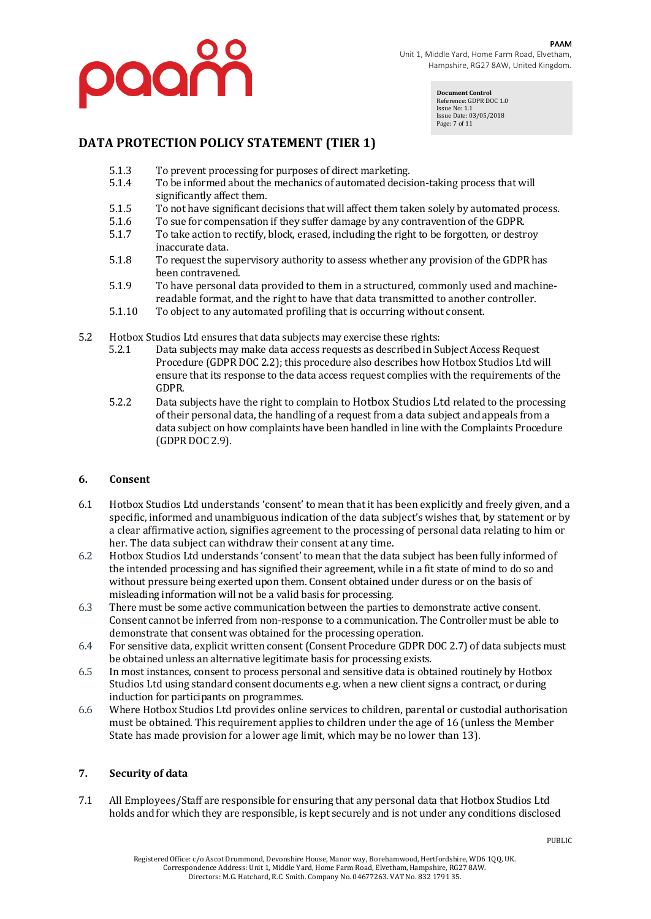

**Document Control** Reference: GDPR DOC 1.0 Issue No: 1.1 Issue Date: 03/05/2018 Page: 7 of 11

# **DATA PROTECTION POLICY STATEMENT (TIER 1)**

- 5.1.3 To prevent processing for purposes of direct marketing.
- 5.1.4 To be informed about the mechanics of automated decision-taking process that will significantly affect them.
- 5.1.5 To not have significant decisions that will affect them taken solely by automated process.
- 5.1.6 To sue for compensation if they suffer damage by any contravention of the GDPR.
- 5.1.7 To take action to rectify, block, erased, including the right to be forgotten, or destroy inaccurate data.
- 5.1.8 To request the supervisory authority to assess whether any provision of the GDPR has been contravened.
- 5.1.9 To have personal data provided to them in a structured, commonly used and machinereadable format, and the right to have that data transmitted to another controller.
- 5.1.10 To object to any automated profiling that is occurring without consent.
- 5.2 Hotbox Studios Ltd ensures that data subjects may exercise these rights:
	- 5.2.1 Data subjects may make data access requests as described in Subject Access Request Procedure (GDPR DOC 2.2); this procedure also describes how Hotbox Studios Ltd will ensure that its response to the data access request complies with the requirements of the GDPR.
	- 5.2.2 Data subjects have the right to complain to Hotbox Studios Ltd related to the processing of their personal data, the handling of a request from a data subject and appeals from a data subject on how complaints have been handled in line with the Complaints Procedure (GDPR DOC 2.9).

#### **6. Consent**

- 6.1 Hotbox Studios Ltd understands 'consent' to mean that it has been explicitly and freely given, and a specific, informed and unambiguous indication of the data subject's wishes that, by statement or by a clear affirmative action, signifies agreement to the processing of personal data relating to him or her. The data subject can withdraw their consent at any time.
- 6.2 Hotbox Studios Ltd understands 'consent' to mean that the data subject has been fully informed of the intended processing and has signified their agreement, while in a fit state of mind to do so and without pressure being exerted upon them. Consent obtained under duress or on the basis of misleading information will not be a valid basis for processing.
- 6.3 There must be some active communication between the parties to demonstrate active consent. Consent cannot be inferred from non-response to a communication. The Controller must be able to demonstrate that consent was obtained for the processing operation.
- 6.4 For sensitive data, explicit written consent (Consent Procedure GDPR DOC 2.7) of data subjects must be obtained unless an alternative legitimate basis for processing exists.
- 6.5 In most instances, consent to process personal and sensitive data is obtained routinely by Hotbox Studios Ltd using standard consent documents e.g. when a new client signs a contract, or during induction for participants on programmes.
- 6.6 Where Hotbox Studios Ltd provides online services to children, parental or custodial authorisation must be obtained. This requirement applies to children under the age of 16 (unless the Member State has made provision for a lower age limit, which may be no lower than 13).

### **7. Security of data**

7.1 All Employees/Staff are responsible for ensuring that any personal data that Hotbox Studios Ltd holds and for which they are responsible, is kept securely and is not under any conditions disclosed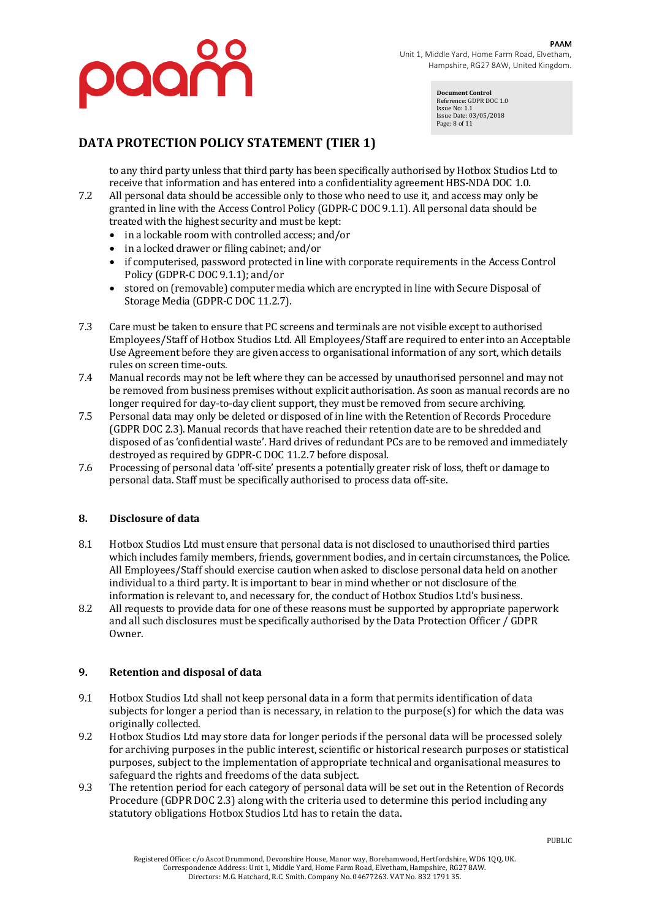

**Document Control** Reference: GDPR DOC 1.0 Issue No: 1.1 Issue Date: 03/05/2018 Page: 8 of 11

# **DATA PROTECTION POLICY STATEMENT (TIER 1)**

to any third party unless that third party has been specifically authorised by Hotbox Studios Ltd to receive that information and has entered into a confidentiality agreement HBS-NDA DOC 1.0.

- 7.2 All personal data should be accessible only to those who need to use it, and access may only be granted in line with the Access Control Policy (GDPR-C DOC 9.1.1). All personal data should be treated with the highest security and must be kept:
	- in a lockable room with controlled access; and/or
	- in a locked drawer or filing cabinet; and/or
	- if computerised, password protected in line with corporate requirements in the Access Control Policy (GDPR-C DOC 9.1.1); and/or
	- stored on (removable) computer media which are encrypted in line with Secure Disposal of Storage Media (GDPR-C DOC 11.2.7).
- 7.3 Care must be taken to ensure that PC screens and terminals are not visible except to authorised Employees/Staff of Hotbox Studios Ltd. All Employees/Staff are required to enter into an Acceptable Use Agreement before they are given access to organisational information of any sort, which details rules on screen time-outs.
- 7.4 Manual records may not be left where they can be accessed by unauthorised personnel and may not be removed from business premises without explicit authorisation. As soon as manual records are no longer required for day-to-day client support, they must be removed from secure archiving.
- 7.5 Personal data may only be deleted or disposed of in line with the Retention of Records Procedure (GDPR DOC 2.3). Manual records that have reached their retention date are to be shredded and disposed of as 'confidential waste'. Hard drives of redundant PCs are to be removed and immediately destroyed as required by GDPR-C DOC 11.2.7 before disposal.
- 7.6 Processing of personal data 'off-site' presents a potentially greater risk of loss, theft or damage to personal data. Staff must be specifically authorised to process data off-site.

### **8. Disclosure of data**

- 8.1 Hotbox Studios Ltd must ensure that personal data is not disclosed to unauthorised third parties which includes family members, friends, government bodies, and in certain circumstances, the Police. All Employees/Staff should exercise caution when asked to disclose personal data held on another individual to a third party. It is important to bear in mind whether or not disclosure of the information is relevant to, and necessary for, the conduct of Hotbox Studios Ltd's business.
- 8.2 All requests to provide data for one of these reasons must be supported by appropriate paperwork and all such disclosures must be specifically authorised by the Data Protection Officer / GDPR Owner.

#### **9. Retention and disposal of data**

- 9.1 Hotbox Studios Ltd shall not keep personal data in a form that permits identification of data subjects for longer a period than is necessary, in relation to the purpose(s) for which the data was originally collected.
- 9.2 Hotbox Studios Ltd may store data for longer periods if the personal data will be processed solely for archiving purposes in the public interest, scientific or historical research purposes or statistical purposes, subject to the implementation of appropriate technical and organisational measures to safeguard the rights and freedoms of the data subject.
- 9.3 The retention period for each category of personal data will be set out in the Retention of Records Procedure (GDPR DOC 2.3) along with the criteria used to determine this period including any statutory obligations Hotbox Studios Ltd has to retain the data.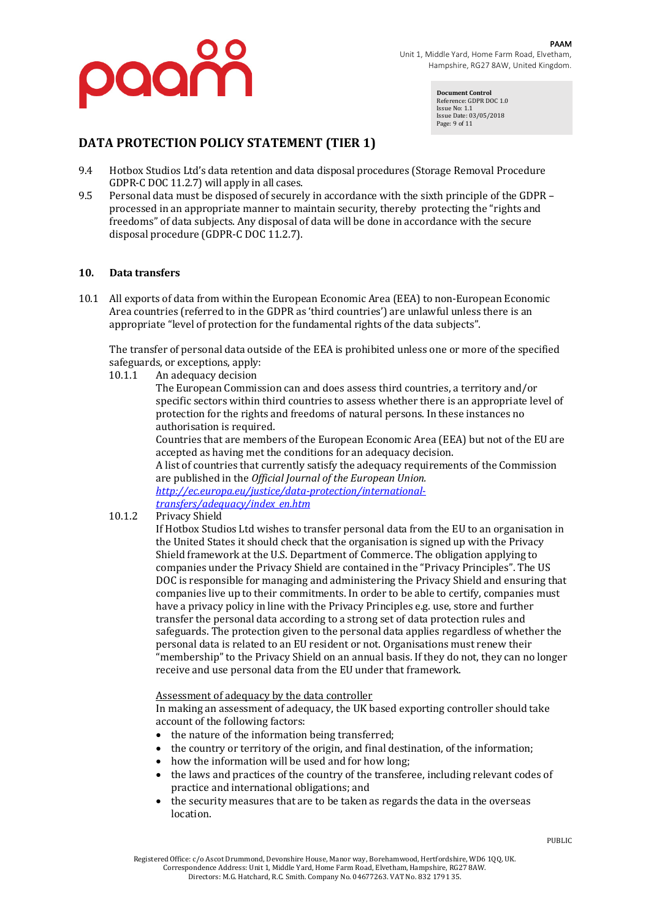

**Document Control** Reference: GDPR DOC 1.0 Issue No: 1.1 Issue Date: 03/05/2018 Page: 9 of 11

# **DATA PROTECTION POLICY STATEMENT (TIER 1)**

- 9.4 Hotbox Studios Ltd's data retention and data disposal procedures (Storage Removal Procedure GDPR-C DOC 11.2.7) will apply in all cases.
- 9.5 Personal data must be disposed of securely in accordance with the sixth principle of the GDPR processed in an appropriate manner to maintain security, thereby protecting the "rights and freedoms" of data subjects. Any disposal of data will be done in accordance with the secure disposal procedure (GDPR-C DOC 11.2.7).

#### **10. Data transfers**

10.1 All exports of data from within the European Economic Area (EEA) to non-European Economic Area countries (referred to in the GDPR as 'third countries') are unlawful unless there is an appropriate "level of protection for the fundamental rights of the data subjects".

The transfer of personal data outside of the EEA is prohibited unless one or more of the specified safeguards, or exceptions, apply:

10.1.1 An adequacy decision

The European Commission can and does assess third countries, a territory and/or specific sectors within third countries to assess whether there is an appropriate level of protection for the rights and freedoms of natural persons. In these instances no authorisation is required.

Countries that are members of the European Economic Area (EEA) but not of the EU are accepted as having met the conditions for an adequacy decision.

A list of countries that currently satisfy the adequacy requirements of the Commission are published in the *Official Journal of the European Union.* 

*http://ec.europa.eu/justice/data-protection/internationaltransfers/adequacy/index\_en.htm*

#### 10.1.2 Privacy Shield

If Hotbox Studios Ltd wishes to transfer personal data from the EU to an organisation in the United States it should check that the organisation is signed up with the Privacy Shield framework at the U.S. Department of Commerce. The obligation applying to companies under the Privacy Shield are contained in the "Privacy Principles". The US DOC is responsible for managing and administering the Privacy Shield and ensuring that companies live up to their commitments. In order to be able to certify, companies must have a privacy policy in line with the Privacy Principles e.g. use, store and further transfer the personal data according to a strong set of data protection rules and safeguards. The protection given to the personal data applies regardless of whether the personal data is related to an EU resident or not. Organisations must renew their "membership" to the Privacy Shield on an annual basis. If they do not, they can no longer receive and use personal data from the EU under that framework.

#### Assessment of adequacy by the data controller

In making an assessment of adequacy, the UK based exporting controller should take account of the following factors:

- the nature of the information being transferred;
- the country or territory of the origin, and final destination, of the information;
- how the information will be used and for how long;
- the laws and practices of the country of the transferee, including relevant codes of practice and international obligations; and
- the security measures that are to be taken as regards the data in the overseas location.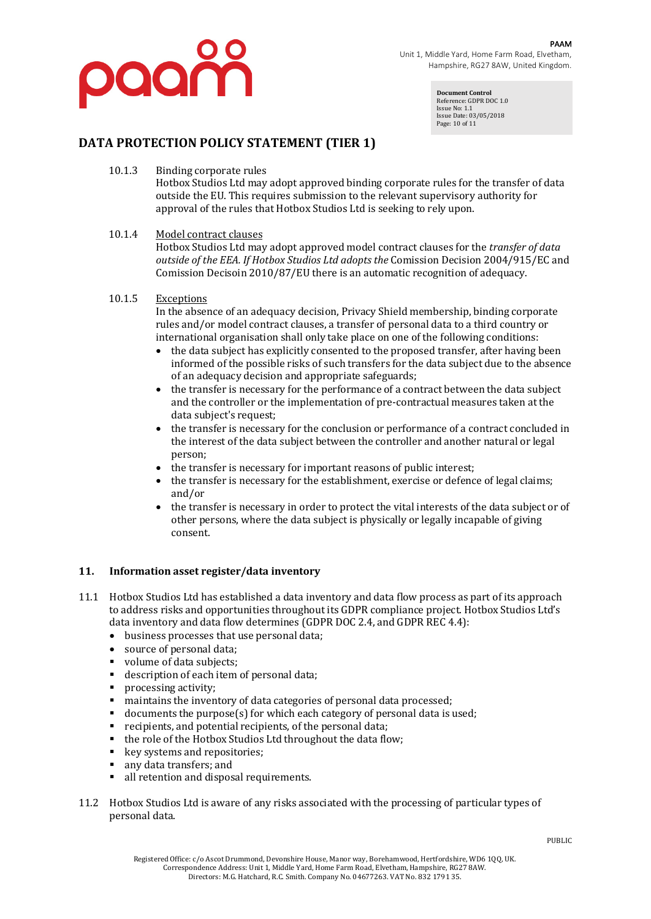

**Document Control** Reference: GDPR DOC 1.0 Issue No: 1.1 Issue Date: 03/05/2018 Page: 10 of 11

# **DATA PROTECTION POLICY STATEMENT (TIER 1)**

10.1.3 Binding corporate rules

Hotbox Studios Ltd may adopt approved binding corporate rules for the transfer of data outside the EU. This requires submission to the relevant supervisory authority for approval of the rules that Hotbox Studios Ltd is seeking to rely upon.

### 10.1.4 Model contract clauses

Hotbox Studios Ltd may adopt approved model contract clauses for the *transfer of data outside of the EEA. If Hotbox Studios Ltd adopts the Comission Decision 2004/915/EC and* Comission Decisoin  $2010/87$ /EU there is an automatic recognition of adequacy.

#### 10.1.5 Exceptions

In the absence of an adequacy decision, Privacy Shield membership, binding corporate rules and/or model contract clauses, a transfer of personal data to a third country or international organisation shall only take place on one of the following conditions:

- the data subject has explicitly consented to the proposed transfer, after having been informed of the possible risks of such transfers for the data subject due to the absence of an adequacy decision and appropriate safeguards;
- the transfer is necessary for the performance of a contract between the data subject and the controller or the implementation of pre-contractual measures taken at the data subject's request;
- the transfer is necessary for the conclusion or performance of a contract concluded in the interest of the data subject between the controller and another natural or legal person;
- $\bullet$  the transfer is necessary for important reasons of public interest;
- the transfer is necessary for the establishment, exercise or defence of legal claims; and/or
- the transfer is necessary in order to protect the vital interests of the data subject or of other persons, where the data subject is physically or legally incapable of giving consent.

### 11. Information asset register/data inventory

- 11.1 Hotbox Studios Ltd has established a data inventory and data flow process as part of its approach to address risks and opportunities throughout its GDPR compliance project. Hotbox Studios Ltd's data inventory and data flow determines (GDPR DOC 2.4, and GDPR REC 4.4):
	- business processes that use personal data;
	- source of personal data;
	- volume of data subjects:
	- description of each item of personal data;
	- processing activity;
	- **•** maintains the inventory of data categories of personal data processed;
	- $\alpha$  documents the purpose(s) for which each category of personal data is used;
	- $\blacksquare$  recipients, and potential recipients, of the personal data;
	- the role of the Hotbox Studios Ltd throughout the data flow;
	- key systems and repositories;
	- any data transfers; and
	- all retention and disposal requirements.
- 11.2 Hotbox Studios Ltd is aware of any risks associated with the processing of particular types of personal data.